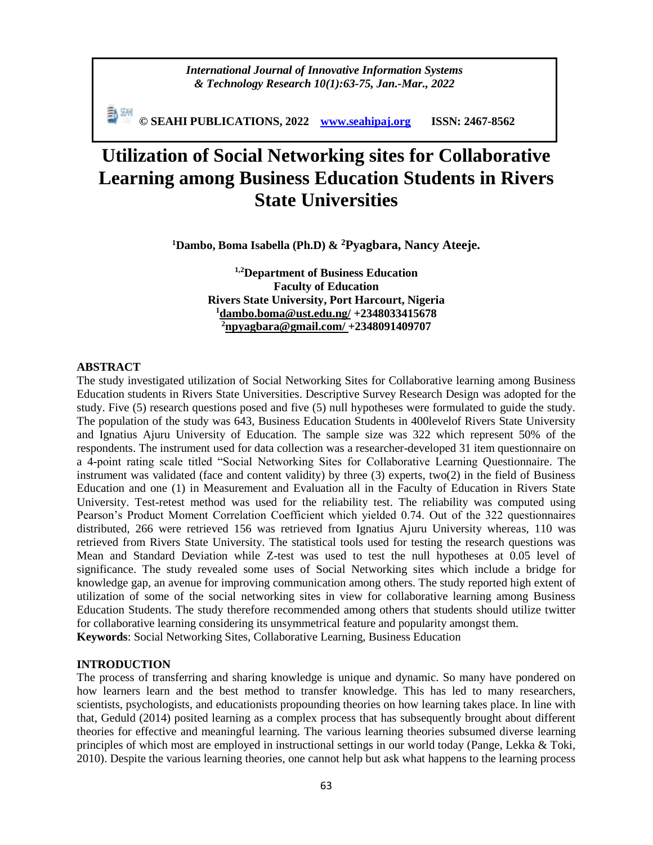*International Journal of Innovative Information Systems & Technology Research 10(1):63-75, Jan.-Mar., 2022*

**© SEAHI PUBLICATIONS, 2022 [www.seahipaj.org](http://www.seahipaj.org/) ISSN: 2467-8562**

# **Utilization of Social Networking sites for Collaborative Learning among Business Education Students in Rivers State Universities**

**<sup>1</sup>Dambo, Boma Isabella (Ph.D) & <sup>2</sup>Pyagbara, Nancy Ateeje.**

**1,2Department of Business Education Faculty of Education Rivers State University, Port Harcourt, Nigeria <sup>1</sup>[dambo.boma@ust.edu.ng/](mailto:dambo.boma@ust.edu.ng/) +2348033415678 <sup>2</sup>[npyagbara@gmail.com/](mailto:npyagbara@gmail.com/) +2348091409707**

#### **ABSTRACT**

The study investigated utilization of Social Networking Sites for Collaborative learning among Business Education students in Rivers State Universities. Descriptive Survey Research Design was adopted for the study. Five (5) research questions posed and five (5) null hypotheses were formulated to guide the study. The population of the study was 643, Business Education Students in 400levelof Rivers State University and Ignatius Ajuru University of Education. The sample size was 322 which represent 50% of the respondents. The instrument used for data collection was a researcher-developed 31 item questionnaire on a 4-point rating scale titled "Social Networking Sites for Collaborative Learning Questionnaire. The instrument was validated (face and content validity) by three (3) experts, two(2) in the field of Business Education and one (1) in Measurement and Evaluation all in the Faculty of Education in Rivers State University. Test-retest method was used for the reliability test. The reliability was computed using Pearson's Product Moment Correlation Coefficient which yielded 0.74. Out of the 322 questionnaires distributed, 266 were retrieved 156 was retrieved from Ignatius Ajuru University whereas, 110 was retrieved from Rivers State University. The statistical tools used for testing the research questions was Mean and Standard Deviation while Z-test was used to test the null hypotheses at 0.05 level of significance. The study revealed some uses of Social Networking sites which include a bridge for knowledge gap, an avenue for improving communication among others. The study reported high extent of utilization of some of the social networking sites in view for collaborative learning among Business Education Students. The study therefore recommended among others that students should utilize twitter for collaborative learning considering its unsymmetrical feature and popularity amongst them. **Keywords**: Social Networking Sites, Collaborative Learning, Business Education

#### **INTRODUCTION**

The process of transferring and sharing knowledge is unique and dynamic. So many have pondered on how learners learn and the best method to transfer knowledge. This has led to many researchers, scientists, psychologists, and educationists propounding theories on how learning takes place. In line with that, Geduld (2014) posited learning as a complex process that has subsequently brought about different theories for effective and meaningful learning. The various learning theories subsumed diverse learning principles of which most are employed in instructional settings in our world today (Pange, Lekka & Toki, 2010). Despite the various learning theories, one cannot help but ask what happens to the learning process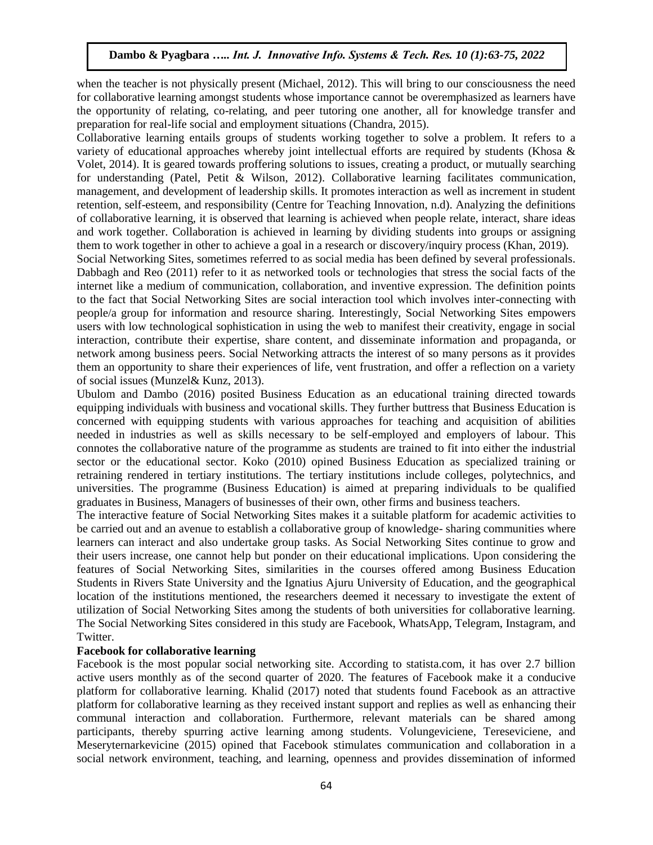when the teacher is not physically present (Michael, 2012). This will bring to our consciousness the need for collaborative learning amongst students whose importance cannot be overemphasized as learners have the opportunity of relating, co-relating, and peer tutoring one another, all for knowledge transfer and preparation for real-life social and employment situations (Chandra, 2015).

Collaborative learning entails groups of students working together to solve a problem. It refers to a variety of educational approaches whereby joint intellectual efforts are required by students (Khosa & Volet, 2014). It is geared towards proffering solutions to issues, creating a product, or mutually searching for understanding (Patel, Petit & Wilson, 2012). Collaborative learning facilitates communication, management, and development of leadership skills. It promotes interaction as well as increment in student retention, self-esteem, and responsibility (Centre for Teaching Innovation, n.d). Analyzing the definitions of collaborative learning, it is observed that learning is achieved when people relate, interact, share ideas and work together. Collaboration is achieved in learning by dividing students into groups or assigning them to work together in other to achieve a goal in a research or discovery/inquiry process (Khan, 2019).

Social Networking Sites, sometimes referred to as social media has been defined by several professionals. Dabbagh and Reo (2011) refer to it as networked tools or technologies that stress the social facts of the internet like a medium of communication, collaboration, and inventive expression. The definition points to the fact that Social Networking Sites are social interaction tool which involves inter-connecting with people/a group for information and resource sharing. Interestingly, Social Networking Sites empowers users with low technological sophistication in using the web to manifest their creativity, engage in social interaction, contribute their expertise, share content, and disseminate information and propaganda, or network among business peers. Social Networking attracts the interest of so many persons as it provides them an opportunity to share their experiences of life, vent frustration, and offer a reflection on a variety of social issues (Munzel& Kunz, 2013).

Ubulom and Dambo (2016) posited Business Education as an educational training directed towards equipping individuals with business and vocational skills. They further buttress that Business Education is concerned with equipping students with various approaches for teaching and acquisition of abilities needed in industries as well as skills necessary to be self-employed and employers of labour. This connotes the collaborative nature of the programme as students are trained to fit into either the industrial sector or the educational sector. Koko (2010) opined Business Education as specialized training or retraining rendered in tertiary institutions. The tertiary institutions include colleges, polytechnics, and universities. The programme (Business Education) is aimed at preparing individuals to be qualified graduates in Business, Managers of businesses of their own, other firms and business teachers.

The interactive feature of Social Networking Sites makes it a suitable platform for academic activities to be carried out and an avenue to establish a collaborative group of knowledge- sharing communities where learners can interact and also undertake group tasks. As Social Networking Sites continue to grow and their users increase, one cannot help but ponder on their educational implications. Upon considering the features of Social Networking Sites, similarities in the courses offered among Business Education Students in Rivers State University and the Ignatius Ajuru University of Education, and the geographical location of the institutions mentioned, the researchers deemed it necessary to investigate the extent of utilization of Social Networking Sites among the students of both universities for collaborative learning. The Social Networking Sites considered in this study are Facebook, WhatsApp, Telegram, Instagram, and Twitter.

# **Facebook for collaborative learning**

Facebook is the most popular social networking site. According to statista.com, it has over 2.7 billion active users monthly as of the second quarter of 2020. The features of Facebook make it a conducive platform for collaborative learning. Khalid (2017) noted that students found Facebook as an attractive platform for collaborative learning as they received instant support and replies as well as enhancing their communal interaction and collaboration. Furthermore, relevant materials can be shared among participants, thereby spurring active learning among students. Volungeviciene, Tereseviciene, and Meseryternarkevicine (2015) opined that Facebook stimulates communication and collaboration in a social network environment, teaching, and learning, openness and provides dissemination of informed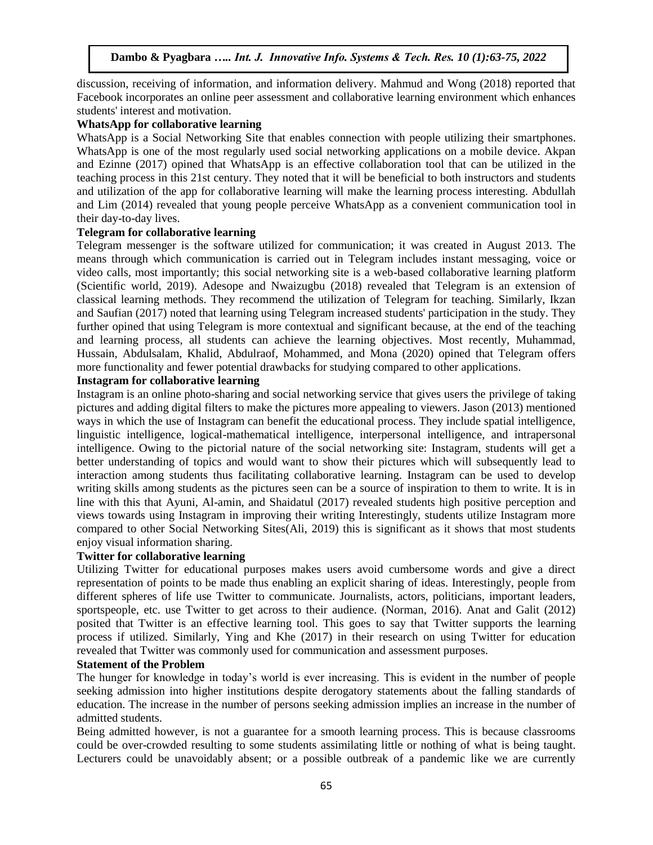discussion, receiving of information, and information delivery. Mahmud and Wong (2018) reported that Facebook incorporates an online peer assessment and collaborative learning environment which enhances students' interest and motivation.

#### **WhatsApp for collaborative learning**

WhatsApp is a Social Networking Site that enables connection with people utilizing their smartphones. WhatsApp is one of the most regularly used social networking applications on a mobile device. Akpan and Ezinne (2017) opined that WhatsApp is an effective collaboration tool that can be utilized in the teaching process in this 21st century. They noted that it will be beneficial to both instructors and students and utilization of the app for collaborative learning will make the learning process interesting. Abdullah and Lim (2014) revealed that young people perceive WhatsApp as a convenient communication tool in their day-to-day lives.

#### **Telegram for collaborative learning**

Telegram messenger is the software utilized for communication; it was created in August 2013. The means through which communication is carried out in Telegram includes instant messaging, voice or video calls, most importantly; this social networking site is a web-based collaborative learning platform (Scientific world, 2019). Adesope and Nwaizugbu (2018) revealed that Telegram is an extension of classical learning methods. They recommend the utilization of Telegram for teaching. Similarly, Ikzan and Saufian (2017) noted that learning using Telegram increased students' participation in the study. They further opined that using Telegram is more contextual and significant because, at the end of the teaching and learning process, all students can achieve the learning objectives. Most recently, Muhammad, Hussain, Abdulsalam, Khalid, Abdulraof, Mohammed, and Mona (2020) opined that Telegram offers more functionality and fewer potential drawbacks for studying compared to other applications.

# **Instagram for collaborative learning**

Instagram is an online photo-sharing and social networking service that gives users the privilege of taking pictures and adding digital filters to make the pictures more appealing to viewers. Jason (2013) mentioned ways in which the use of Instagram can benefit the educational process. They include spatial intelligence, linguistic intelligence, logical-mathematical intelligence, interpersonal intelligence, and intrapersonal intelligence. Owing to the pictorial nature of the social networking site: Instagram, students will get a better understanding of topics and would want to show their pictures which will subsequently lead to interaction among students thus facilitating collaborative learning. Instagram can be used to develop writing skills among students as the pictures seen can be a source of inspiration to them to write. It is in line with this that Ayuni, Al-amin, and Shaidatul (2017) revealed students high positive perception and views towards using Instagram in improving their writing Interestingly, students utilize Instagram more compared to other Social Networking Sites(Ali, 2019) this is significant as it shows that most students enjoy visual information sharing.

#### **Twitter for collaborative learning**

Utilizing Twitter for educational purposes makes users avoid cumbersome words and give a direct representation of points to be made thus enabling an explicit sharing of ideas. Interestingly, people from different spheres of life use Twitter to communicate. Journalists, actors, politicians, important leaders, sportspeople, etc. use Twitter to get across to their audience. (Norman, 2016). Anat and Galit (2012) posited that Twitter is an effective learning tool. This goes to say that Twitter supports the learning process if utilized. Similarly, Ying and Khe (2017) in their research on using Twitter for education revealed that Twitter was commonly used for communication and assessment purposes.

#### **Statement of the Problem**

The hunger for knowledge in today's world is ever increasing. This is evident in the number of people seeking admission into higher institutions despite derogatory statements about the falling standards of education. The increase in the number of persons seeking admission implies an increase in the number of admitted students.

Being admitted however, is not a guarantee for a smooth learning process. This is because classrooms could be over-crowded resulting to some students assimilating little or nothing of what is being taught. Lecturers could be unavoidably absent; or a possible outbreak of a pandemic like we are currently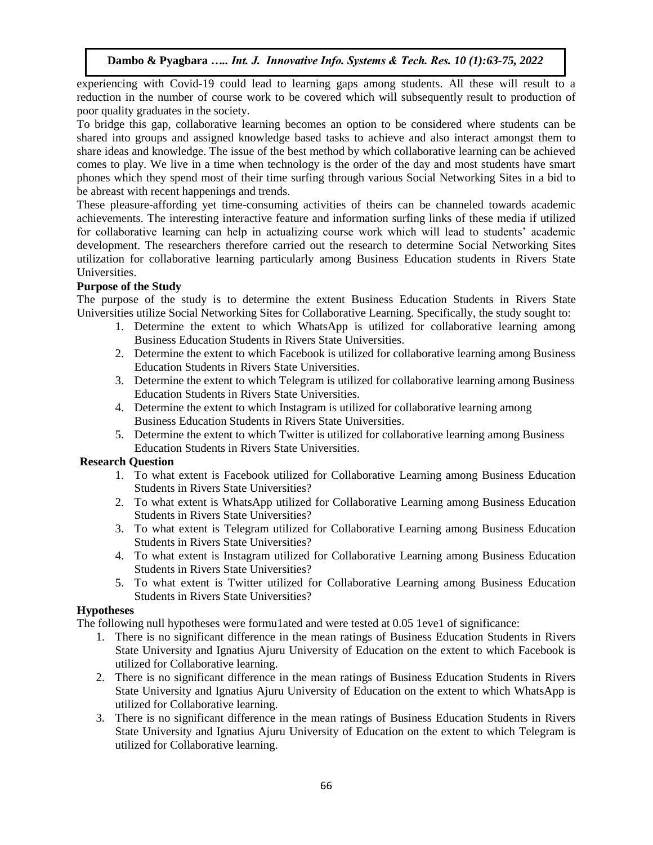experiencing with Covid-19 could lead to learning gaps among students. All these will result to a reduction in the number of course work to be covered which will subsequently result to production of poor quality graduates in the society.

To bridge this gap, collaborative learning becomes an option to be considered where students can be shared into groups and assigned knowledge based tasks to achieve and also interact amongst them to share ideas and knowledge. The issue of the best method by which collaborative learning can be achieved comes to play. We live in a time when technology is the order of the day and most students have smart phones which they spend most of their time surfing through various Social Networking Sites in a bid to be abreast with recent happenings and trends.

These pleasure-affording yet time-consuming activities of theirs can be channeled towards academic achievements. The interesting interactive feature and information surfing links of these media if utilized for collaborative learning can help in actualizing course work which will lead to students' academic development. The researchers therefore carried out the research to determine Social Networking Sites utilization for collaborative learning particularly among Business Education students in Rivers State Universities.

# **Purpose of the Study**

The purpose of the study is to determine the extent Business Education Students in Rivers State Universities utilize Social Networking Sites for Collaborative Learning. Specifically, the study sought to:

- 1. Determine the extent to which WhatsApp is utilized for collaborative learning among Business Education Students in Rivers State Universities.
- 2. Determine the extent to which Facebook is utilized for collaborative learning among Business Education Students in Rivers State Universities.
- 3. Determine the extent to which Telegram is utilized for collaborative learning among Business Education Students in Rivers State Universities.
- 4. Determine the extent to which Instagram is utilized for collaborative learning among Business Education Students in Rivers State Universities.
- 5. Determine the extent to which Twitter is utilized for collaborative learning among Business Education Students in Rivers State Universities.

# **Research Question**

- 1. To what extent is Facebook utilized for Collaborative Learning among Business Education Students in Rivers State Universities?
- 2. To what extent is WhatsApp utilized for Collaborative Learning among Business Education Students in Rivers State Universities?
- 3. To what extent is Telegram utilized for Collaborative Learning among Business Education Students in Rivers State Universities?
- 4. To what extent is Instagram utilized for Collaborative Learning among Business Education Students in Rivers State Universities?
- 5. To what extent is Twitter utilized for Collaborative Learning among Business Education Students in Rivers State Universities?

# **Hypotheses**

The following null hypotheses were formu1ated and were tested at 0.05 1eve1 of significance:

- 1. There is no significant difference in the mean ratings of Business Education Students in Rivers State University and Ignatius Ajuru University of Education on the extent to which Facebook is utilized for Collaborative learning.
- 2. There is no significant difference in the mean ratings of Business Education Students in Rivers State University and Ignatius Ajuru University of Education on the extent to which WhatsApp is utilized for Collaborative learning.
- 3. There is no significant difference in the mean ratings of Business Education Students in Rivers State University and Ignatius Ajuru University of Education on the extent to which Telegram is utilized for Collaborative learning.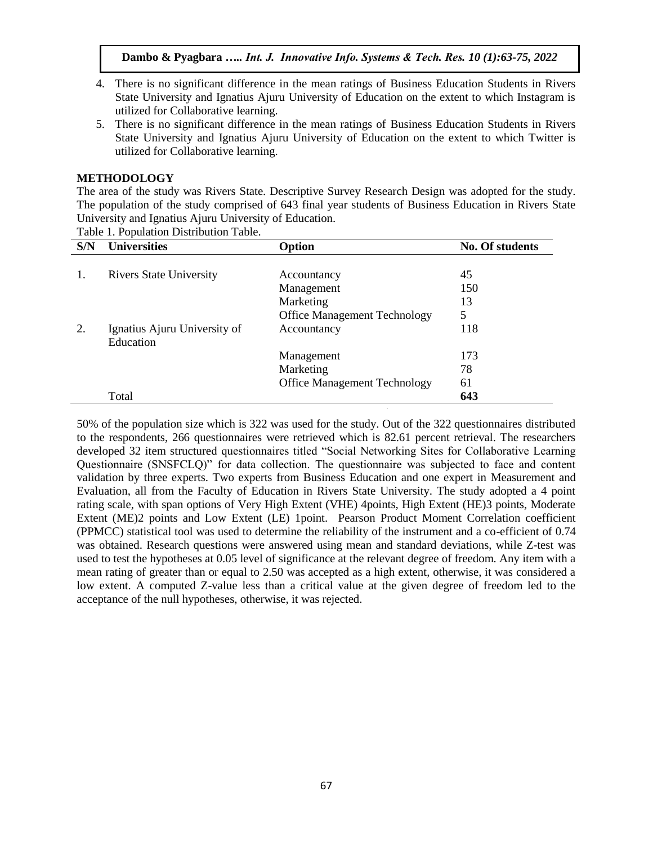- 4. There is no significant difference in the mean ratings of Business Education Students in Rivers State University and Ignatius Ajuru University of Education on the extent to which Instagram is utilized for Collaborative learning.
- 5. There is no significant difference in the mean ratings of Business Education Students in Rivers State University and Ignatius Ajuru University of Education on the extent to which Twitter is utilized for Collaborative learning.

# **METHODOLOGY**

The area of the study was Rivers State. Descriptive Survey Research Design was adopted for the study. The population of the study comprised of 643 final year students of Business Education in Rivers State University and Ignatius Ajuru University of Education.

Table 1. Population Distribution Table.

| S/N | <b>Universities</b>            | Option                              | <b>No. Of students</b> |
|-----|--------------------------------|-------------------------------------|------------------------|
|     |                                |                                     |                        |
|     | <b>Rivers State University</b> | Accountancy                         | 45                     |
|     |                                | Management                          | 150                    |
|     |                                | Marketing                           | 13                     |
|     |                                | <b>Office Management Technology</b> | 5                      |
| 2.  | Ignatius Ajuru University of   | Accountancy                         | 118                    |
|     | Education                      |                                     |                        |
|     |                                | Management                          | 173                    |
|     |                                | Marketing                           | 78                     |
|     |                                | <b>Office Management Technology</b> | 61                     |
|     | Total                          |                                     | 643                    |

50% of the population size which is 322 was used for the study. Out of the 322 questionnaires distributed to the respondents, 266 questionnaires were retrieved which is 82.61 percent retrieval. The researchers developed 32 item structured questionnaires titled "Social Networking Sites for Collaborative Learning Questionnaire (SNSFCLQ)" for data collection. The questionnaire was subjected to face and content validation by three experts. Two experts from Business Education and one expert in Measurement and Evaluation, all from the Faculty of Education in Rivers State University. The study adopted a 4 point rating scale, with span options of Very High Extent (VHE) 4points, High Extent (HE)3 points, Moderate Extent (ME)2 points and Low Extent (LE) 1point. Pearson Product Moment Correlation coefficient (PPMCC) statistical tool was used to determine the reliability of the instrument and a co-efficient of 0.74 was obtained. Research questions were answered using mean and standard deviations, while Z-test was used to test the hypotheses at 0.05 level of significance at the relevant degree of freedom. Any item with a mean rating of greater than or equal to 2.50 was accepted as a high extent, otherwise, it was considered a low extent. A computed Z-value less than a critical value at the given degree of freedom led to the acceptance of the null hypotheses, otherwise, it was rejected.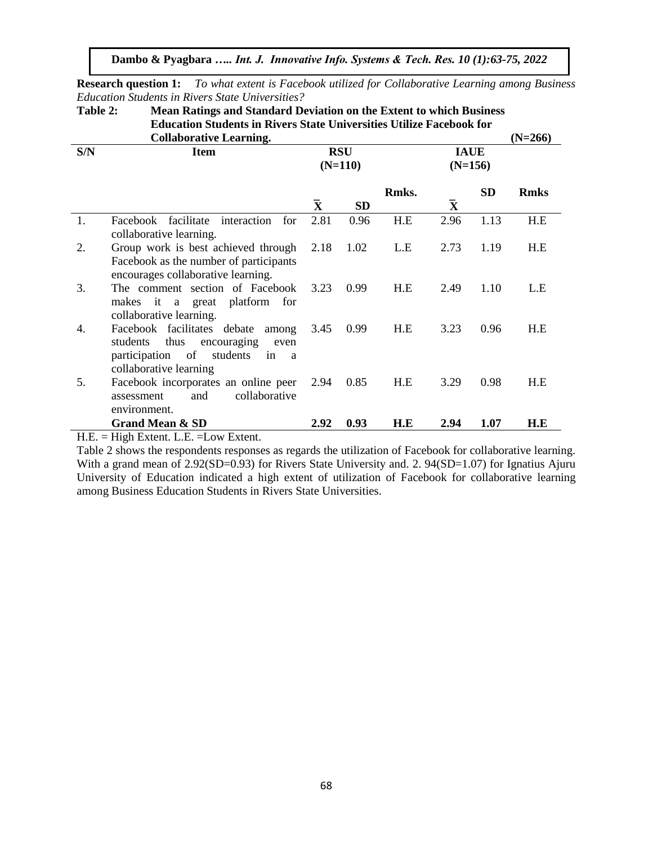**Research question 1:** *To what extent is Facebook utilized for Collaborative Learning among Business Education Students in Rivers State Universities?*

**Table 2: Mean Ratings and Standard Deviation on the Extent to which Business Education Students in Rivers State Universities Utilize Facebook for** 

|     | <b>Collaborative Learning.</b>                                                                                                                               |                    |                         |       |                          |           | $(N=266)$   |
|-----|--------------------------------------------------------------------------------------------------------------------------------------------------------------|--------------------|-------------------------|-------|--------------------------|-----------|-------------|
| S/N | <b>Item</b>                                                                                                                                                  |                    | <b>RSU</b><br>$(N=110)$ |       | <b>IAUE</b><br>$(N=156)$ |           |             |
|     |                                                                                                                                                              | $\bar{\mathbf{X}}$ | <b>SD</b>               | Rmks. | $\bar{\mathbf{X}}$       | <b>SD</b> | <b>Rmks</b> |
| 1.  | facilitate<br>interaction<br>Facebook<br>for<br>collaborative learning.                                                                                      | 2.81               | 0.96                    | H.E   | 2.96                     | 1.13      | H.E         |
| 2.  | Group work is best achieved through<br>Facebook as the number of participants<br>encourages collaborative learning.                                          | 2.18               | 1.02                    | L.E   | 2.73                     | 1.19      | H.E         |
| 3.  | The comment section of Facebook<br>makes it a great platform for<br>collaborative learning.                                                                  | 3.23               | 0.99                    | H.E   | 2.49                     | 1.10      | L.E         |
| 4.  | Facebook facilitates debate among<br>thus<br>encouraging<br>students<br>even<br>participation of<br>students<br>in<br><sub>a</sub><br>collaborative learning | 3.45               | 0.99                    | H.E   | 3.23                     | 0.96      | H.E         |
| 5.  | Facebook incorporates an online peer<br>collaborative<br>and<br>assessment<br>environment.                                                                   | 2.94               | 0.85                    | H.E   | 3.29                     | 0.98      | H.E         |
|     | <b>Grand Mean &amp; SD</b>                                                                                                                                   | 2.92               | 0.93                    | H.E   | 2.94                     | 1.07      | H.E         |

H.E. = High Extent. L.E. =Low Extent.

Table 2 shows the respondents responses as regards the utilization of Facebook for collaborative learning. With a grand mean of 2.92(SD=0.93) for Rivers State University and. 2. 94(SD=1.07) for Ignatius Ajuru University of Education indicated a high extent of utilization of Facebook for collaborative learning among Business Education Students in Rivers State Universities.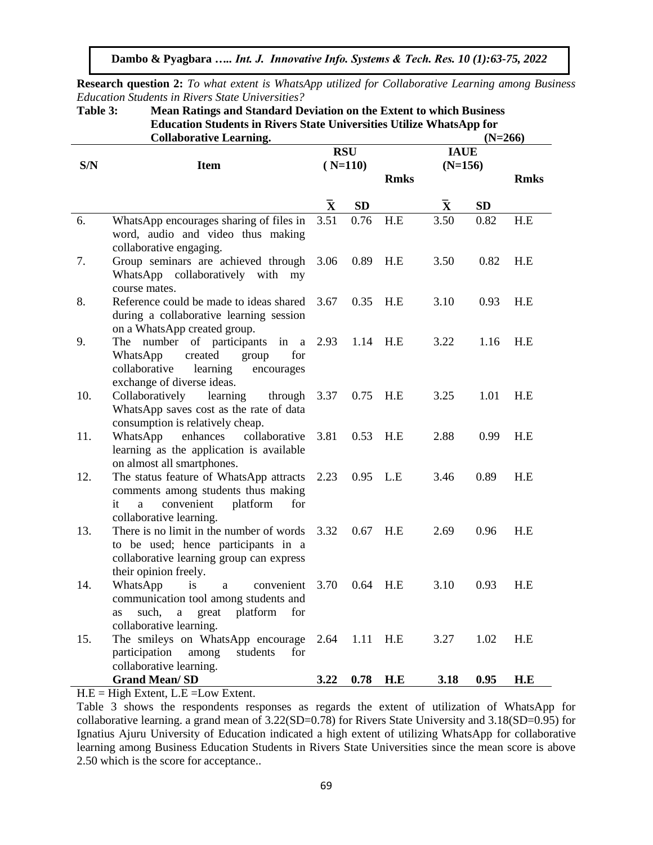**Research question 2:** *To what extent is WhatsApp utilized for Collaborative Learning among Business Education Students in Rivers State Universities?*

**Table 3: Mean Ratings and Standard Deviation on the Extent to which Business Education Students in Rivers State Universities Utilize WhatsApp for** 

|     | <b>Collaborative Learning.</b>                                                                                                                                      | $(N=266)$          |            |             |                    |           |             |
|-----|---------------------------------------------------------------------------------------------------------------------------------------------------------------------|--------------------|------------|-------------|--------------------|-----------|-------------|
|     |                                                                                                                                                                     |                    | <b>RSU</b> |             | <b>IAUE</b>        |           |             |
| S/N | <b>Item</b>                                                                                                                                                         |                    | $(N=110)$  |             | $(N=156)$          |           |             |
|     |                                                                                                                                                                     |                    |            | <b>Rmks</b> |                    |           | <b>Rmks</b> |
|     |                                                                                                                                                                     |                    |            |             |                    |           |             |
|     |                                                                                                                                                                     | $\bar{\textbf{X}}$ | <b>SD</b>  |             | $\bar{\textbf{X}}$ | <b>SD</b> |             |
| 6.  | WhatsApp encourages sharing of files in<br>word, audio and video thus making<br>collaborative engaging.                                                             | 3.51               | 0.76       | H.E         | 3.50               | 0.82      | H.E         |
| 7.  | Group seminars are achieved through<br>WhatsApp collaboratively with my<br>course mates.                                                                            | 3.06               | 0.89       | H.E         | 3.50               | 0.82      | H.E         |
| 8.  | Reference could be made to ideas shared<br>during a collaborative learning session<br>on a WhatsApp created group.                                                  | 3.67               | 0.35       | H.E         | 3.10               | 0.93      | H.E         |
| 9.  | number of participants<br>in<br>The<br>$\mathbf{a}$<br>for<br>WhatsApp<br>created<br>group<br>collaborative<br>learning<br>encourages<br>exchange of diverse ideas. | 2.93               | 1.14       | H.E         | 3.22               | 1.16      | H.E         |
| 10. | Collaboratively<br>learning<br>through<br>WhatsApp saves cost as the rate of data<br>consumption is relatively cheap.                                               | 3.37               | 0.75       | H.E         | 3.25               | 1.01      | H.E         |
| 11. | WhatsApp<br>enhances<br>collaborative<br>learning as the application is available<br>on almost all smartphones.                                                     | 3.81               | 0.53       | H.E         | 2.88               | 0.99      | H.E         |
| 12. | The status feature of WhatsApp attracts<br>comments among students thus making<br>it<br>convenient<br>platform<br>for<br>a<br>collaborative learning.               | 2.23               | 0.95       | L.E         | 3.46               | 0.89      | H.E         |
| 13. | There is no limit in the number of words<br>to be used; hence participants in a<br>collaborative learning group can express<br>their opinion freely.                | 3.32               | 0.67       | H.E         | 2.69               | 0.96      | H.E         |
| 14. | WhatsApp<br><i>is</i><br>convenient<br>a<br>communication tool among students and<br>such,<br>platform<br>for<br>great<br>as<br>a<br>collaborative learning.        | 3.70               | 0.64       | H.E         | 3.10               | 0.93      | H.E         |
| 15. | The smileys on WhatsApp encourage<br>participation<br>students<br>for<br>among<br>collaborative learning.                                                           | 2.64               | 1.11       | H.E         | 3.27               | 1.02      | H.E         |
|     | <b>Grand Mean/SD</b>                                                                                                                                                | 3.22               | 0.78       | H.E         | 3.18               | 0.95      | H.E         |

 $H.E = High Extend$ ,  $L.E = Low Extend$ .

Table 3 shows the respondents responses as regards the extent of utilization of WhatsApp for collaborative learning. a grand mean of 3.22(SD=0.78) for Rivers State University and 3.18(SD=0.95) for Ignatius Ajuru University of Education indicated a high extent of utilizing WhatsApp for collaborative learning among Business Education Students in Rivers State Universities since the mean score is above 2.50 which is the score for acceptance..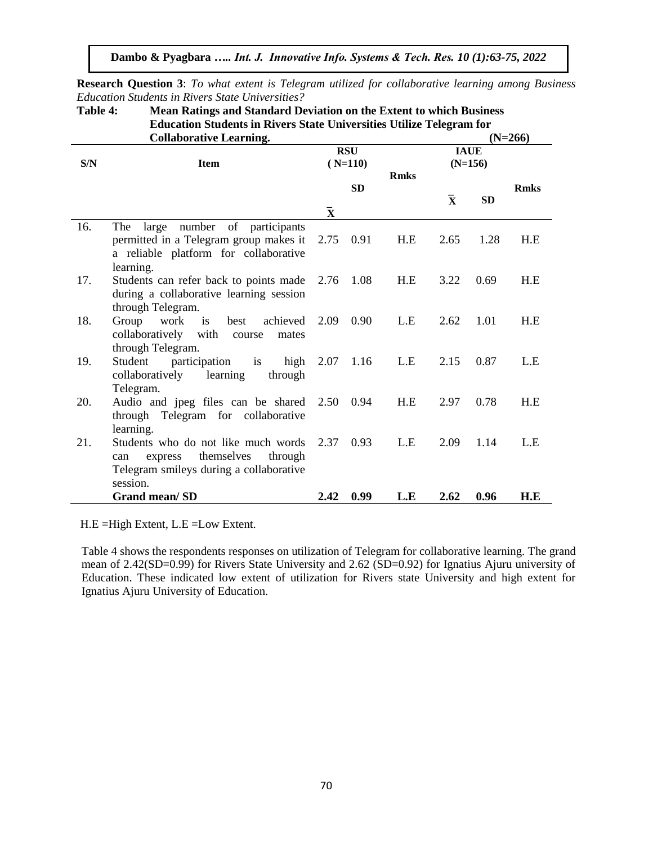**Research Question 3**: *To what extent is Telegram utilized for collaborative learning among Business Education Students in Rivers State Universities?*

**Table 4: Mean Ratings and Standard Deviation on the Extent to which Business Education Students in Rivers State Universities Utilize Telegram for** 

|     | <b>Collaborative Learning.</b>                                                                                                        |                          |                         |                          |              |           | $(N=266)$   |
|-----|---------------------------------------------------------------------------------------------------------------------------------------|--------------------------|-------------------------|--------------------------|--------------|-----------|-------------|
| S/N | <b>Item</b>                                                                                                                           |                          | <b>RSU</b><br>$(N=110)$ | <b>IAUE</b><br>$(N=156)$ |              |           |             |
|     |                                                                                                                                       | <b>Rmks</b><br><b>SD</b> |                         |                          | $\mathbf{X}$ | <b>SD</b> | <b>Rmks</b> |
|     |                                                                                                                                       | $\bar{\mathbf{X}}$       |                         |                          |              |           |             |
| 16. | large number of participants<br>The<br>permitted in a Telegram group makes it<br>a reliable platform for collaborative<br>learning.   | 2.75                     | 0.91                    | H.E                      | 2.65         | 1.28      | H.E         |
| 17. | Students can refer back to points made<br>during a collaborative learning session<br>through Telegram.                                | 2.76                     | 1.08                    | H.E                      | 3.22         | 0.69      | H.E         |
| 18. | Group work is<br>achieved<br>best<br>collaboratively with<br>course<br>mates<br>through Telegram.                                     | 2.09                     | 0.90                    | L.E                      | 2.62         | 1.01      | H.E         |
| 19. | Student participation is<br>high<br>learning<br>collaboratively<br>through<br>Telegram.                                               | 2.07                     | 1.16                    | L.E                      | 2.15         | 0.87      | L.E         |
| 20. | Audio and jpeg files can be shared 2.50 0.94<br>through Telegram for collaborative<br>learning.                                       |                          |                         | H.E                      | 2.97         | 0.78      | H.E         |
| 21. | Students who do not like much words<br>themselves<br>express<br>through<br>can<br>Telegram smileys during a collaborative<br>session. | 2.37                     | 0.93                    | L.E                      | 2.09         | 1.14      | L.E         |
|     | <b>Grand mean/SD</b>                                                                                                                  | 2.42                     | 0.99                    | L.E                      | 2.62         | 0.96      | H.E         |

H.E =High Extent, L.E =Low Extent.

Table 4 shows the respondents responses on utilization of Telegram for collaborative learning. The grand mean of 2.42(SD=0.99) for Rivers State University and 2.62 (SD=0.92) for Ignatius Ajuru university of Education. These indicated low extent of utilization for Rivers state University and high extent for Ignatius Ajuru University of Education.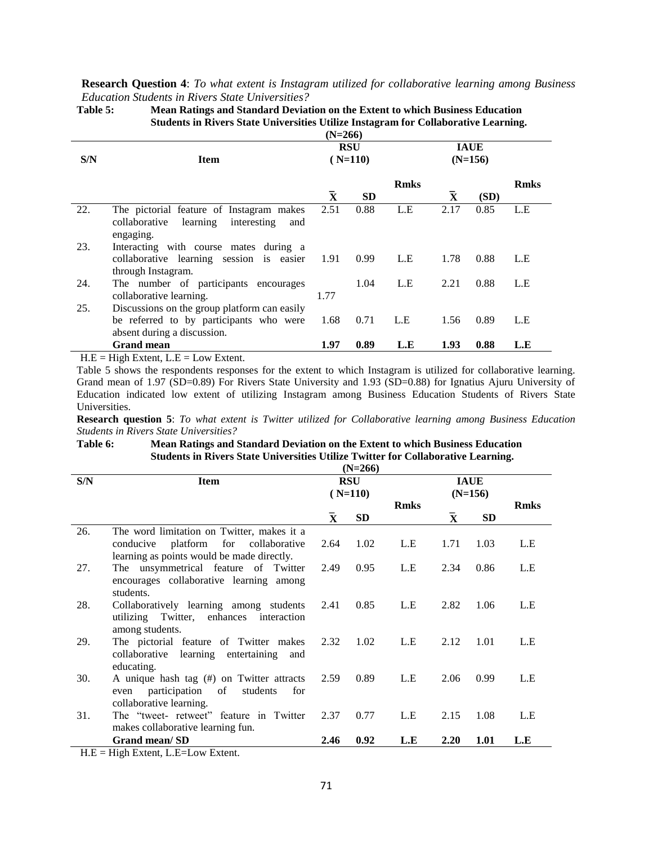#### **Research Question 4**: *To what extent is Instagram utilized for collaborative learning among Business Education Students in Rivers State Universities?*

|     |                                              | $(N=266)$               |           |             |                          |      |             |
|-----|----------------------------------------------|-------------------------|-----------|-------------|--------------------------|------|-------------|
| S/N | <b>Item</b>                                  | <b>RSU</b><br>$(N=110)$ |           |             | <b>IAUE</b><br>$(N=156)$ |      |             |
|     |                                              |                         |           | <b>Rmks</b> |                          |      | <b>Rmks</b> |
|     |                                              | $\bar{\textbf{x}}$      | <b>SD</b> |             | $\mathbf{x}$             | (SD) |             |
| 22. | The pictorial feature of Instagram makes     | 2.51                    | 0.88      | L.E         | 2.17                     | 0.85 | L.E         |
|     | collaborative learning<br>interesting<br>and |                         |           |             |                          |      |             |
|     | engaging.                                    |                         |           |             |                          |      |             |
| 23. | Interacting with course mates during a       |                         |           |             |                          |      |             |
|     | collaborative learning session is easier     | -1.91                   | 0.99      | L.E         | 1.78                     | 0.88 | L.E         |
|     | through Instagram.                           |                         |           |             |                          |      |             |
| 24. | The number of participants encourages        |                         | 1.04      | L.E         | 2.21                     | 0.88 | L.E         |
|     | collaborative learning.                      | 1.77                    |           |             |                          |      |             |
| 25. | Discussions on the group platform can easily |                         |           |             |                          |      |             |
|     | be referred to by participants who were      | 1.68                    | 0.71      | L.E         | 1.56                     | 0.89 | L.E         |
|     | absent during a discussion.                  |                         |           |             |                          |      |             |
|     | <b>Grand mean</b>                            | 1.97                    | 0.89      | L.E         | 1.93                     | 0.88 | L.E         |

**Table 5: Mean Ratings and Standard Deviation on the Extent to which Business Education Students in Rivers State Universities Utilize Instagram for Collaborative Learning.**

 $H.E = High Extend$ ,  $L.E = Low Extend$ .

Table 5 shows the respondents responses for the extent to which Instagram is utilized for collaborative learning. Grand mean of 1.97 (SD=0.89) For Rivers State University and 1.93 (SD=0.88) for Ignatius Ajuru University of Education indicated low extent of utilizing Instagram among Business Education Students of Rivers State Universities.

**Research question 5**: *To what extent is Twitter utilized for Collaborative learning among Business Education Students in Rivers State Universities?*

#### **Table 6: Mean Ratings and Standard Deviation on the Extent to which Business Education Students in Rivers State Universities Utilize Twitter for Collaborative Learning. (N=266)**

|             |                                            |                         | (IN=400)  |             |                          |           |             |
|-------------|--------------------------------------------|-------------------------|-----------|-------------|--------------------------|-----------|-------------|
| S/N         | Item                                       | <b>RSU</b><br>$(N=110)$ |           |             | <b>IAUE</b><br>$(N=156)$ |           |             |
|             |                                            |                         |           | <b>Rmks</b> |                          |           | <b>Rmks</b> |
|             |                                            | $\mathbf{X}$            | <b>SD</b> |             | $\bar{\mathbf{X}}$       | <b>SD</b> |             |
| 26.         | The word limitation on Twitter, makes it a |                         |           |             |                          |           |             |
|             | platform for collaborative<br>conducive    | 2.64                    | 1.02      | L.E         | 1.71                     | 1.03      | L.E         |
|             | learning as points would be made directly. |                         |           |             |                          |           |             |
| 27.         | The unsymmetrical feature of Twitter       | 2.49                    | 0.95      | L.E         | 2.34                     | 0.86      | L.E         |
|             | encourages collaborative learning among    |                         |           |             |                          |           |             |
|             | students.                                  |                         |           |             |                          |           |             |
| 28.         | Collaboratively learning among students    | 2.41                    | 0.85      | L.E         | 2.82                     | 1.06      | L.E         |
|             |                                            |                         |           |             |                          |           |             |
|             | utilizing Twitter, enhances interaction    |                         |           |             |                          |           |             |
|             | among students.                            |                         |           |             |                          |           |             |
| 29.         | The pictorial feature of Twitter makes     | 2.32                    | 1.02      | L.E         | 2.12                     | 1.01      | L.E         |
|             | collaborative learning entertaining<br>and |                         |           |             |                          |           |             |
|             | educating.                                 |                         |           |             |                          |           |             |
| 30.         | A unique hash tag (#) on Twitter attracts  | 2.59                    | 0.89      | L.E         | 2.06                     | 0.99      | L.E         |
|             | even participation of<br>students<br>for   |                         |           |             |                          |           |             |
|             | collaborative learning.                    |                         |           |             |                          |           |             |
| 31.         | The "tweet- retweet" feature in Twitter    | 2.37                    | 0.77      | L.E         | 2.15                     | 1.08      | L.E         |
|             | makes collaborative learning fun.          |                         |           |             |                          |           |             |
|             | Grand mean/SD                              | 2.46                    | 0.92      | L.E         | 2.20                     | 1.01      | L.E         |
| <b>II</b> D | 11' 1 P 1 P T                              |                         |           |             |                          |           |             |

H.E = High Extent, L.E=Low Extent.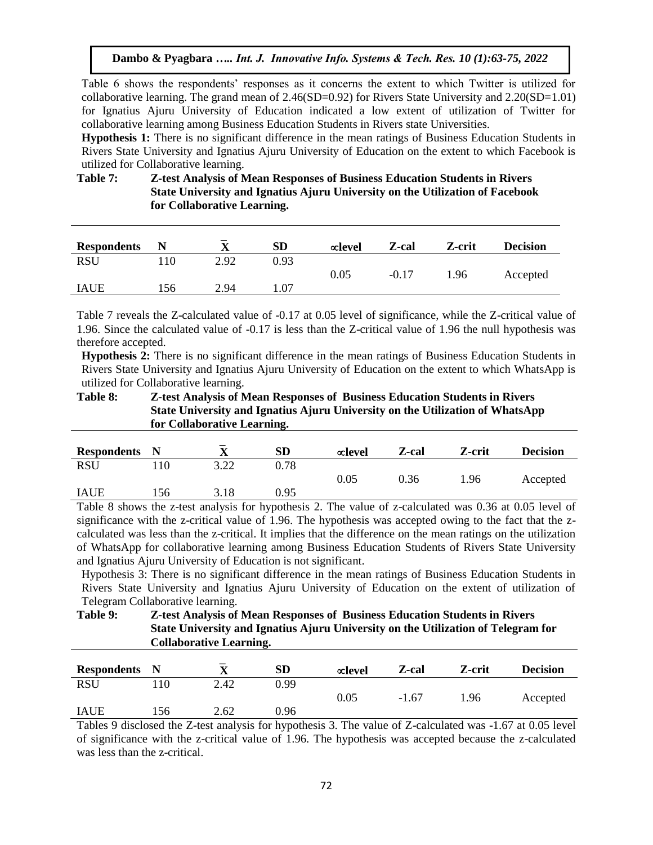Table 6 shows the respondents' responses as it concerns the extent to which Twitter is utilized for collaborative learning. The grand mean of  $2.46(SD=0.92)$  for Rivers State University and  $2.20(SD=1.01)$ for Ignatius Ajuru University of Education indicated a low extent of utilization of Twitter for collaborative learning among Business Education Students in Rivers state Universities.

**Hypothesis 1:** There is no significant difference in the mean ratings of Business Education Students in Rivers State University and Ignatius Ajuru University of Education on the extent to which Facebook is utilized for Collaborative learning.

# **Table 7: Z-test Analysis of Mean Responses of Business Education Students in Rivers State University and Ignatius Ajuru University on the Utilization of Facebook for Collaborative Learning.**

| <b>Respondents</b> | N   | _<br>$\mathbf{v}$ | SD   | $\infty$ level | Z-cal   | Z-crit | <b>Decision</b> |
|--------------------|-----|-------------------|------|----------------|---------|--------|-----------------|
| <b>RSU</b>         | 10  | 2.92              | 0.93 |                |         |        |                 |
|                    |     |                   |      | 0.05           | $-0.17$ | 1.96   | Accepted        |
| <b>IAUE</b>        | .56 | 2.94              |      |                |         |        |                 |

Table 7 reveals the Z-calculated value of -0.17 at 0.05 level of significance, while the Z-critical value of 1.96. Since the calculated value of -0.17 is less than the Z-critical value of 1.96 the null hypothesis was therefore accepted.

**Hypothesis 2:** There is no significant difference in the mean ratings of Business Education Students in Rivers State University and Ignatius Ajuru University of Education on the extent to which WhatsApp is utilized for Collaborative learning.

| Table 8: | <b>Z-test Analysis of Mean Responses of Business Education Students in Rivers</b> |
|----------|-----------------------------------------------------------------------------------|
|          | State University and Ignatius Ajuru University on the Utilization of WhatsApp     |
|          | for Collaborative Learning.                                                       |

| <b>Respondents</b> N |     | -                    | <b>SD</b> | $\infty$ level                  | Z-cal         | Z-crit                           | <b>Decision</b> |
|----------------------|-----|----------------------|-----------|---------------------------------|---------------|----------------------------------|-----------------|
| <b>RSU</b>           |     | 3.22                 | 0.78      |                                 |               |                                  |                 |
|                      |     |                      |           | $\rm 0.05$                      | 0.36          | 1.96                             | Accepted        |
| <b>IAUE</b>          | 156 | 3.18                 | 0.95      |                                 |               |                                  |                 |
| _____                |     | $\sim$ $\sim$ $\sim$ | $\sim$    | - -<br>$\overline{\phantom{a}}$ | $\sim$<br>. . | ----<br>$\overline{\phantom{a}}$ | -----<br>$\sim$ |

Table 8 shows the z-test analysis for hypothesis 2. The value of z-calculated was 0.36 at 0.05 level of significance with the z-critical value of 1.96. The hypothesis was accepted owing to the fact that the zcalculated was less than the z-critical. It implies that the difference on the mean ratings on the utilization of WhatsApp for collaborative learning among Business Education Students of Rivers State University and Ignatius Ajuru University of Education is not significant.

Hypothesis 3: There is no significant difference in the mean ratings of Business Education Students in Rivers State University and Ignatius Ajuru University of Education on the extent of utilization of Telegram Collaborative learning.

**Table 9: Z-test Analysis of Mean Responses of Business Education Students in Rivers State University and Ignatius Ajuru University on the Utilization of Telegram for Collaborative Learning.**

| <b>Respondents</b> N |     | $\overline{\phantom{0}}$<br>v | SD   | $\infty$ level | Z-cal   | Z-crit | <b>Decision</b> |
|----------------------|-----|-------------------------------|------|----------------|---------|--------|-----------------|
| <b>RSU</b>           |     | 2.42                          | 0.99 |                |         |        |                 |
|                      |     |                               |      | $\rm 0.05$     | $-1.67$ | 1.96   | Accepted        |
| <b>IAUE</b>          | .56 | 2.62                          | 0.96 |                |         |        |                 |

Tables 9 disclosed the Z-test analysis for hypothesis 3. The value of Z-calculated was -1.67 at 0.05 level of significance with the z-critical value of 1.96. The hypothesis was accepted because the z-calculated was less than the z-critical.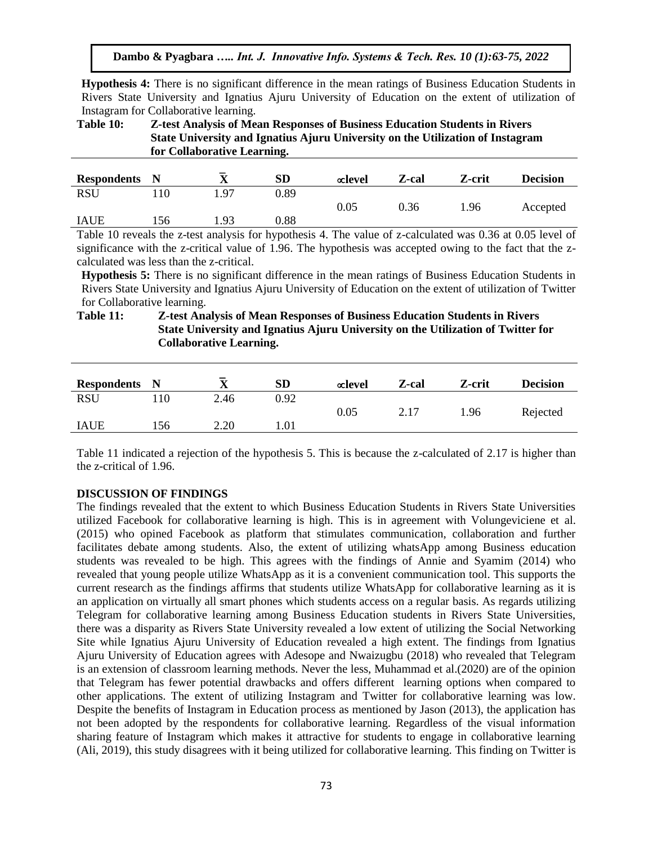**Hypothesis 4:** There is no significant difference in the mean ratings of Business Education Students in Rivers State University and Ignatius Ajuru University of Education on the extent of utilization of Instagram for Collaborative learning.

**Table 10: Z-test Analysis of Mean Responses of Business Education Students in Rivers State University and Ignatius Ajuru University on the Utilization of Instagram for Collaborative Learning.**

| <b>Respondents</b> | $\blacksquare$ | $\overline{\mathbf{v}}$<br>л | <b>SD</b>  | $\alpha$ level | Z-cal | Z-crit | <b>Decision</b> |
|--------------------|----------------|------------------------------|------------|----------------|-------|--------|-----------------|
| <b>RSU</b>         |                | 97                           | 0.89       |                |       |        |                 |
|                    |                |                              |            | $\rm 0.05$     | 0.36  | 1.96   | Accepted        |
| <b>IAUE</b>        | 156            | 1.93                         | $\rm 0.88$ |                |       |        |                 |

Table 10 reveals the z-test analysis for hypothesis 4. The value of z-calculated was 0.36 at 0.05 level of significance with the z-critical value of 1.96. The hypothesis was accepted owing to the fact that the zcalculated was less than the z-critical.

**Hypothesis 5:** There is no significant difference in the mean ratings of Business Education Students in Rivers State University and Ignatius Ajuru University of Education on the extent of utilization of Twitter for Collaborative learning.

**Table 11: Z-test Analysis of Mean Responses of Business Education Students in Rivers State University and Ignatius Ajuru University on the Utilization of Twitter for Collaborative Learning.**

| <b>Respondents</b> N |     | $\overline{\mathbf{v}}$ | <b>SD</b> | $\infty$ level | Z-cal | Z-crit | <b>Decision</b> |
|----------------------|-----|-------------------------|-----------|----------------|-------|--------|-----------------|
| <b>RSU</b>           | 110 | 2.46                    | 0.92      |                |       |        |                 |
|                      |     |                         |           | 0.05           | 2.17  | 1.96   | Rejected        |
| <b>IAUE</b>          | 156 | 2.20                    | 1.01      |                |       |        |                 |

Table 11 indicated a rejection of the hypothesis 5. This is because the z-calculated of 2.17 is higher than the z-critical of 1.96.

# **DISCUSSION OF FINDINGS**

The findings revealed that the extent to which Business Education Students in Rivers State Universities utilized Facebook for collaborative learning is high. This is in agreement with Volungeviciene et al. (2015) who opined Facebook as platform that stimulates communication, collaboration and further facilitates debate among students. Also, the extent of utilizing whatsApp among Business education students was revealed to be high. This agrees with the findings of Annie and Syamim (2014) who revealed that young people utilize WhatsApp as it is a convenient communication tool. This supports the current research as the findings affirms that students utilize WhatsApp for collaborative learning as it is an application on virtually all smart phones which students access on a regular basis. As regards utilizing Telegram for collaborative learning among Business Education students in Rivers State Universities, there was a disparity as Rivers State University revealed a low extent of utilizing the Social Networking Site while Ignatius Ajuru University of Education revealed a high extent. The findings from Ignatius Ajuru University of Education agrees with Adesope and Nwaizugbu (2018) who revealed that Telegram is an extension of classroom learning methods. Never the less, Muhammad et al.(2020) are of the opinion that Telegram has fewer potential drawbacks and offers different learning options when compared to other applications. The extent of utilizing Instagram and Twitter for collaborative learning was low. Despite the benefits of Instagram in Education process as mentioned by Jason (2013), the application has not been adopted by the respondents for collaborative learning. Regardless of the visual information sharing feature of Instagram which makes it attractive for students to engage in collaborative learning (Ali, 2019), this study disagrees with it being utilized for collaborative learning. This finding on Twitter is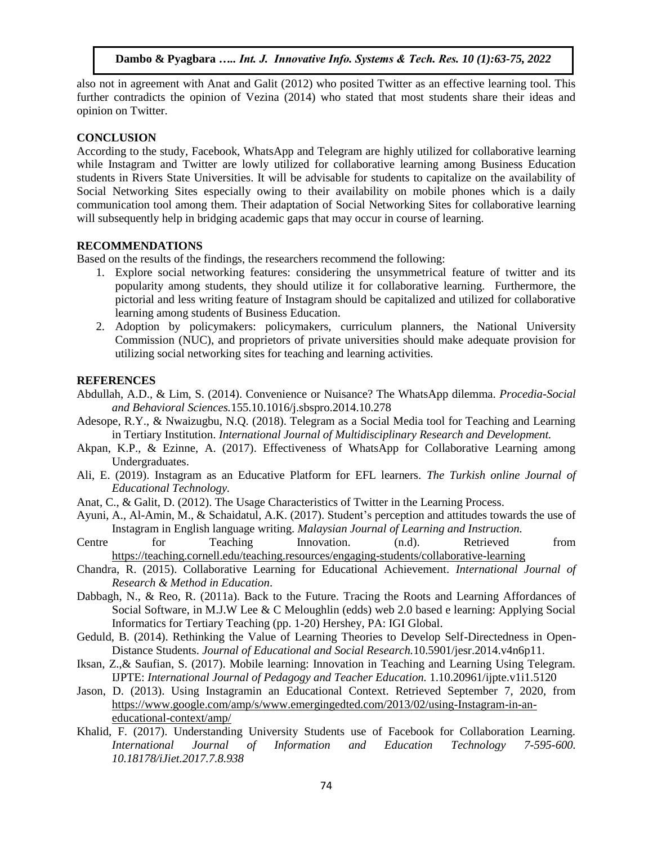also not in agreement with Anat and Galit (2012) who posited Twitter as an effective learning tool. This further contradicts the opinion of Vezina (2014) who stated that most students share their ideas and opinion on Twitter.

#### **CONCLUSION**

According to the study, Facebook, WhatsApp and Telegram are highly utilized for collaborative learning while Instagram and Twitter are lowly utilized for collaborative learning among Business Education students in Rivers State Universities. It will be advisable for students to capitalize on the availability of Social Networking Sites especially owing to their availability on mobile phones which is a daily communication tool among them. Their adaptation of Social Networking Sites for collaborative learning will subsequently help in bridging academic gaps that may occur in course of learning.

#### **RECOMMENDATIONS**

Based on the results of the findings, the researchers recommend the following:

- 1. Explore social networking features: considering the unsymmetrical feature of twitter and its popularity among students, they should utilize it for collaborative learning. Furthermore, the pictorial and less writing feature of Instagram should be capitalized and utilized for collaborative learning among students of Business Education.
- 2. Adoption by policymakers: policymakers, curriculum planners, the National University Commission (NUC), and proprietors of private universities should make adequate provision for utilizing social networking sites for teaching and learning activities.

# **REFERENCES**

- Abdullah, A.D., & Lim, S. (2014). Convenience or Nuisance? The WhatsApp dilemma. *Procedia-Social and Behavioral Sciences.*155.10.1016/j.sbspro.2014.10.278
- Adesope, R.Y., & Nwaizugbu, N.Q. (2018). Telegram as a Social Media tool for Teaching and Learning in Tertiary Institution. *International Journal of Multidisciplinary Research and Development.*
- Akpan, K.P., & Ezinne, A. (2017). Effectiveness of WhatsApp for Collaborative Learning among Undergraduates.
- Ali, E. (2019). Instagram as an Educative Platform for EFL learners. *The Turkish online Journal of Educational Technology.*
- Anat, C., & Galit, D. (2012). The Usage Characteristics of Twitter in the Learning Process.
- Ayuni, A., Al-Amin, M., & Schaidatul, A.K. (2017). Student's perception and attitudes towards the use of Instagram in English language writing. *Malaysian Journal of Learning and Instruction.*
- Centre for Teaching Innovation. (n.d). Retrieved from <https://teaching.cornell.edu/teaching.resources/engaging-students/collaborative-learning>
- Chandra, R. (2015). Collaborative Learning for Educational Achievement. *International Journal of Research & Method in Education*.
- Dabbagh, N., & Reo, R. (2011a). Back to the Future. Tracing the Roots and Learning Affordances of Social Software, in M.J.W Lee & C Meloughlin (edds) web 2.0 based e learning: Applying Social Informatics for Tertiary Teaching (pp. 1-20) Hershey, PA: IGI Global.
- Geduld, B. (2014). Rethinking the Value of Learning Theories to Develop Self-Directedness in Open-Distance Students. *Journal of Educational and Social Research.*10.5901/jesr.2014.v4n6p11.
- Iksan, Z.,& Saufian, S. (2017). Mobile learning: Innovation in Teaching and Learning Using Telegram. IJPTE: *International Journal of Pedagogy and Teacher Education.* 1.10.20961/ijpte.v1i1.5120
- Jason, D. (2013). Using Instagramin an Educational Context. Retrieved September 7, 2020, from [https://www.google.com/amp/s/www.emergingedted.com/2013/02/using-Instagram-in-an](https://www.google.com/amp/s/www.emergingedted.com/2013/02/using-instagram-in-an-educational-context/amp/)[educational-context/amp/](https://www.google.com/amp/s/www.emergingedted.com/2013/02/using-instagram-in-an-educational-context/amp/)
- Khalid, F. (2017). Understanding University Students use of Facebook for Collaboration Learning. *International Journal of Information and Education Technology 7-595-600. 10.18178/iJiet.2017.7.8.938*